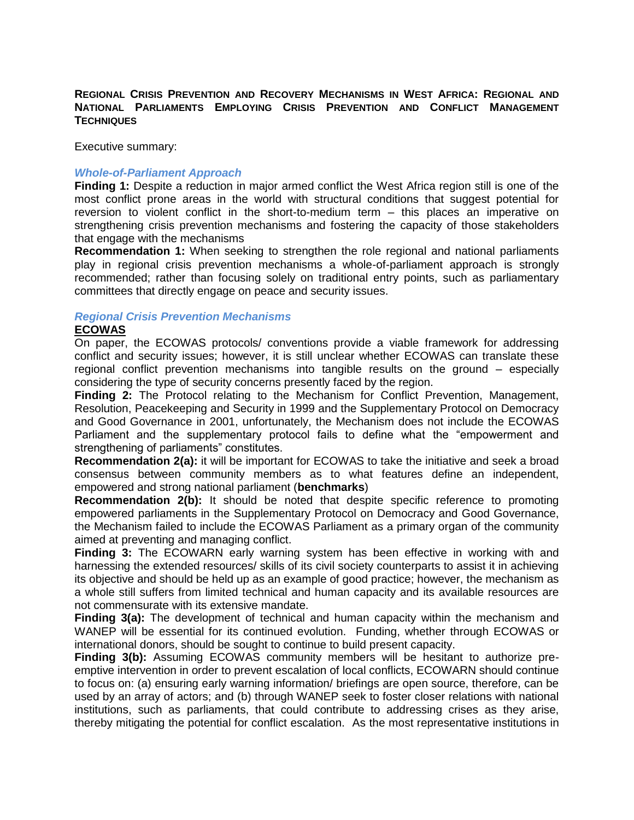#### **REGIONAL CRISIS PREVENTION AND RECOVERY MECHANISMS IN WEST AFRICA: REGIONAL AND NATIONAL PARLIAMENTS EMPLOYING CRISIS PREVENTION AND CONFLICT MANAGEMENT TECHNIQUES**

Executive summary:

#### *Whole-of-Parliament Approach*

**Finding 1:** Despite a reduction in major armed conflict the West Africa region still is one of the most conflict prone areas in the world with structural conditions that suggest potential for reversion to violent conflict in the short-to-medium term – this places an imperative on strengthening crisis prevention mechanisms and fostering the capacity of those stakeholders that engage with the mechanisms

**Recommendation 1:** When seeking to strengthen the role regional and national parliaments play in regional crisis prevention mechanisms a whole-of-parliament approach is strongly recommended; rather than focusing solely on traditional entry points, such as parliamentary committees that directly engage on peace and security issues.

# *Regional Crisis Prevention Mechanisms*

## **ECOWAS**

On paper, the ECOWAS protocols/ conventions provide a viable framework for addressing conflict and security issues; however, it is still unclear whether ECOWAS can translate these regional conflict prevention mechanisms into tangible results on the ground – especially considering the type of security concerns presently faced by the region.

**Finding 2:** The Protocol relating to the Mechanism for Conflict Prevention, Management, Resolution, Peacekeeping and Security in 1999 and the Supplementary Protocol on Democracy and Good Governance in 2001, unfortunately, the Mechanism does not include the ECOWAS Parliament and the supplementary protocol fails to define what the "empowerment and strengthening of parliaments" constitutes.

**Recommendation 2(a):** it will be important for ECOWAS to take the initiative and seek a broad consensus between community members as to what features define an independent, empowered and strong national parliament (**benchmarks**)

**Recommendation 2(b):** It should be noted that despite specific reference to promoting empowered parliaments in the Supplementary Protocol on Democracy and Good Governance, the Mechanism failed to include the ECOWAS Parliament as a primary organ of the community aimed at preventing and managing conflict.

**Finding 3:** The ECOWARN early warning system has been effective in working with and harnessing the extended resources/ skills of its civil society counterparts to assist it in achieving its objective and should be held up as an example of good practice; however, the mechanism as a whole still suffers from limited technical and human capacity and its available resources are not commensurate with its extensive mandate.

**Finding 3(a):** The development of technical and human capacity within the mechanism and WANEP will be essential for its continued evolution. Funding, whether through ECOWAS or international donors, should be sought to continue to build present capacity.

**Finding 3(b):** Assuming ECOWAS community members will be hesitant to authorize preemptive intervention in order to prevent escalation of local conflicts, ECOWARN should continue to focus on: (a) ensuring early warning information/ briefings are open source, therefore, can be used by an array of actors; and (b) through WANEP seek to foster closer relations with national institutions, such as parliaments, that could contribute to addressing crises as they arise, thereby mitigating the potential for conflict escalation. As the most representative institutions in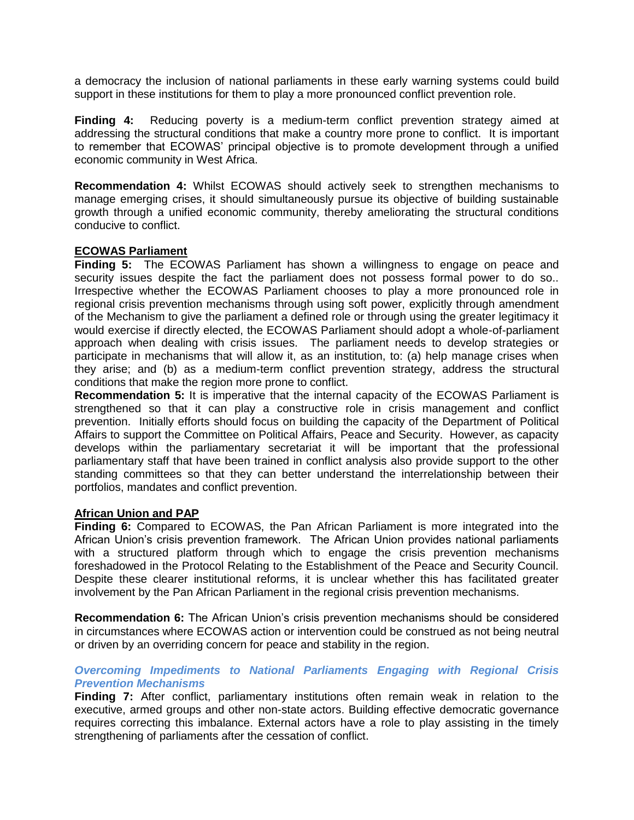a democracy the inclusion of national parliaments in these early warning systems could build support in these institutions for them to play a more pronounced conflict prevention role.

**Finding 4:** Reducing poverty is a medium-term conflict prevention strategy aimed at addressing the structural conditions that make a country more prone to conflict. It is important to remember that ECOWAS' principal objective is to promote development through a unified economic community in West Africa.

**Recommendation 4:** Whilst ECOWAS should actively seek to strengthen mechanisms to manage emerging crises, it should simultaneously pursue its objective of building sustainable growth through a unified economic community, thereby ameliorating the structural conditions conducive to conflict.

## **ECOWAS Parliament**

**Finding 5:** The ECOWAS Parliament has shown a willingness to engage on peace and security issues despite the fact the parliament does not possess formal power to do so.. Irrespective whether the ECOWAS Parliament chooses to play a more pronounced role in regional crisis prevention mechanisms through using soft power, explicitly through amendment of the Mechanism to give the parliament a defined role or through using the greater legitimacy it would exercise if directly elected, the ECOWAS Parliament should adopt a whole-of-parliament approach when dealing with crisis issues. The parliament needs to develop strategies or participate in mechanisms that will allow it, as an institution, to: (a) help manage crises when they arise; and (b) as a medium-term conflict prevention strategy, address the structural conditions that make the region more prone to conflict.

**Recommendation 5:** It is imperative that the internal capacity of the ECOWAS Parliament is strengthened so that it can play a constructive role in crisis management and conflict prevention. Initially efforts should focus on building the capacity of the Department of Political Affairs to support the Committee on Political Affairs, Peace and Security. However, as capacity develops within the parliamentary secretariat it will be important that the professional parliamentary staff that have been trained in conflict analysis also provide support to the other standing committees so that they can better understand the interrelationship between their portfolios, mandates and conflict prevention.

#### **African Union and PAP**

**Finding 6:** Compared to ECOWAS, the Pan African Parliament is more integrated into the African Union's crisis prevention framework. The African Union provides national parliaments with a structured platform through which to engage the crisis prevention mechanisms foreshadowed in the Protocol Relating to the Establishment of the Peace and Security Council. Despite these clearer institutional reforms, it is unclear whether this has facilitated greater involvement by the Pan African Parliament in the regional crisis prevention mechanisms.

**Recommendation 6:** The African Union's crisis prevention mechanisms should be considered in circumstances where ECOWAS action or intervention could be construed as not being neutral or driven by an overriding concern for peace and stability in the region.

## *Overcoming Impediments to National Parliaments Engaging with Regional Crisis Prevention Mechanisms*

**Finding 7:** After conflict, parliamentary institutions often remain weak in relation to the executive, armed groups and other non-state actors. Building effective democratic governance requires correcting this imbalance. External actors have a role to play assisting in the timely strengthening of parliaments after the cessation of conflict.